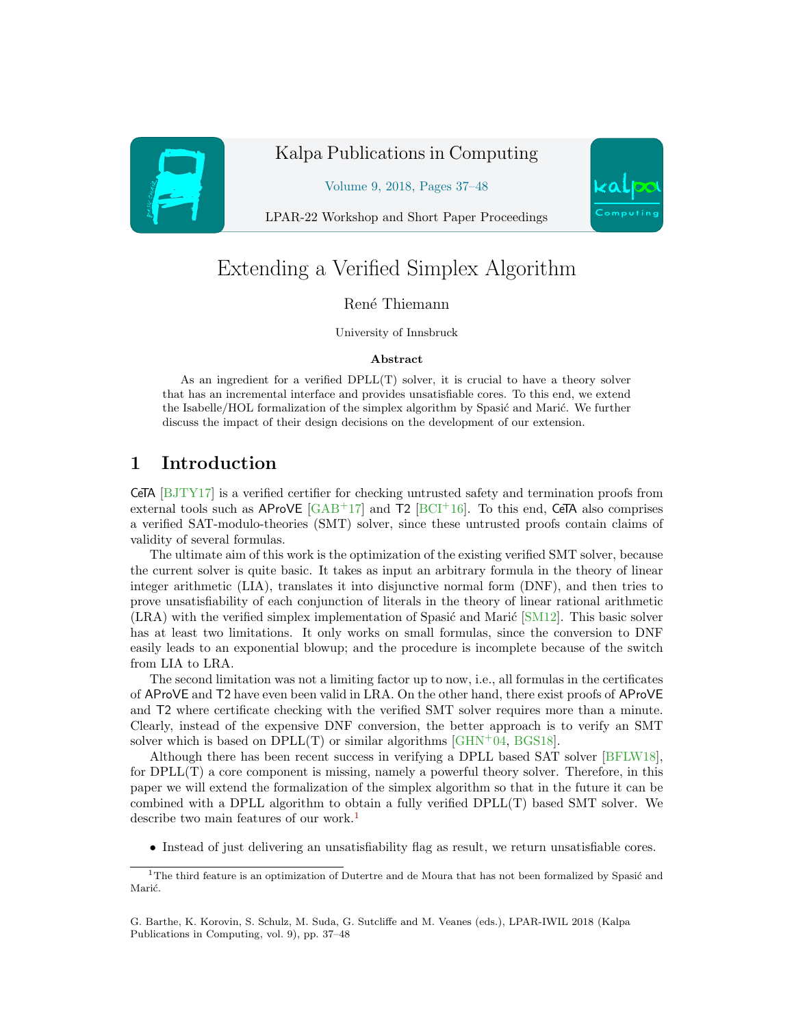

# Kalpa Publications in Computing

Volume 9, 2018, Pages 37–48



# Extending a Verified Simplex Algorithm

#### René Thiemann

#### University of Innsbruck

#### Abstract

As an ingredient for a verified DPLL(T) solver, it is crucial to have a theory solver that has an incremental interface and provides unsatisfiable cores. To this end, we extend the Isabelle/HOL formalization of the simplex algorithm by Spasić and Marić. We further discuss the impact of their design decisions on the development of our extension.

# 1 Introduction

CeTA [\[BJTY17\]](#page-11-0) is a verified certifier for checking untrusted safety and termination proofs from external tools such as AProVE  $\lceil \text{GAB}^+17 \rceil$  and T2  $\lceil \text{BCI}^+16 \rceil$ . To this end, CeTA also comprises a verified SAT-modulo-theories (SMT) solver, since these untrusted proofs contain claims of validity of several formulas.

The ultimate aim of this work is the optimization of the existing verified SMT solver, because the current solver is quite basic. It takes as input an arbitrary formula in the theory of linear integer arithmetic (LIA), translates it into disjunctive normal form (DNF), and then tries to prove unsatisfiability of each conjunction of literals in the theory of linear rational arithmetic  $(LRA)$  with the verified simplex implementation of Spasic and Maric  $[SM12]$ . This basic solver has at least two limitations. It only works on small formulas, since the conversion to DNF easily leads to an exponential blowup; and the procedure is incomplete because of the switch from LIA to LRA.

The second limitation was not a limiting factor up to now, i.e., all formulas in the certificates of AProVE and T2 have even been valid in LRA. On the other hand, there exist proofs of AProVE and T2 where certificate checking with the verified SMT solver requires more than a minute. Clearly, instead of the expensive DNF conversion, the better approach is to verify an SMT solver which is based on  $DPLL(T)$  or similar algorithms [ $GHN<sup>+</sup>04$ ,  $BGS18$ ].

Although there has been recent success in verifying a DPLL based SAT solver [\[BFLW18\]](#page-11-5), for DPLL(T) a core component is missing, namely a powerful theory solver. Therefore, in this paper we will extend the formalization of the simplex algorithm so that in the future it can be combined with a DPLL algorithm to obtain a fully verified DPLL(T) based SMT solver. We describe two main features of our work.<sup>[1](#page-0-0)</sup>

• Instead of just delivering an unsatisfiability flag as result, we return unsatisfiable cores.



<span id="page-0-0"></span> $1$ The third feature is an optimization of Dutertre and de Moura that has not been formalized by Spasić and Marić.

G. Barthe, K. Korovin, S. Schulz, M. Suda, G. Sutcliffe and M. Veanes (eds.), LPAR-IWIL 2018 (Kalpa Publications in Computing, vol. 9), pp. 37–48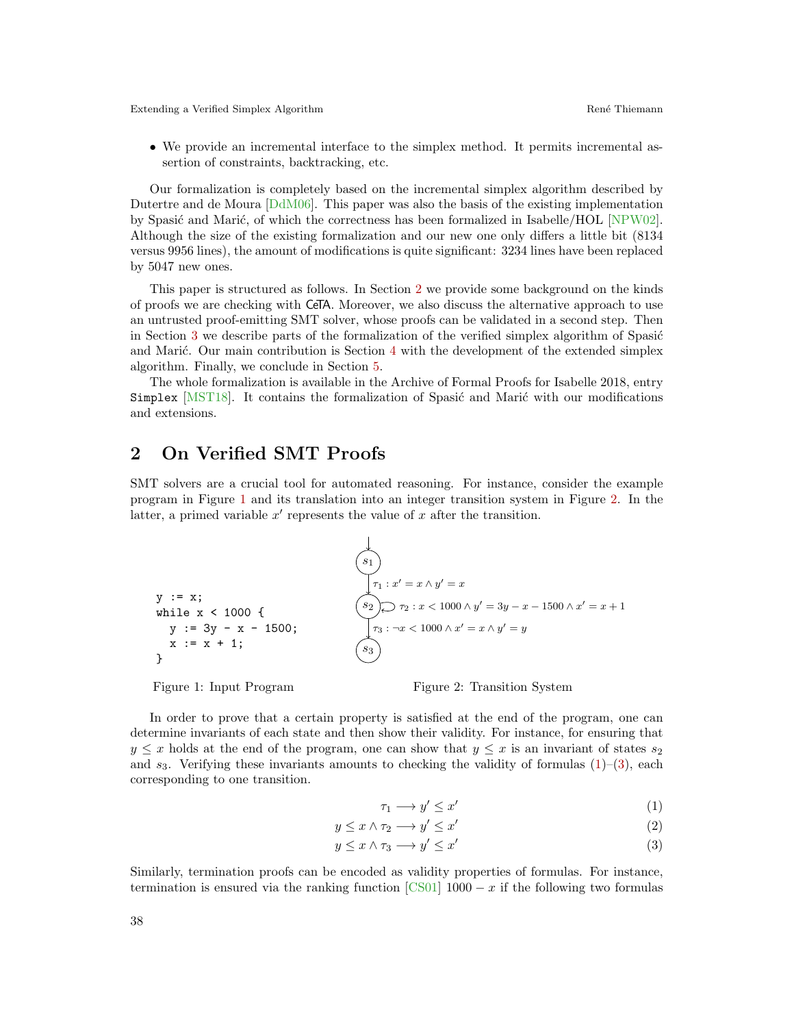• We provide an incremental interface to the simplex method. It permits incremental assertion of constraints, backtracking, etc.

Our formalization is completely based on the incremental simplex algorithm described by Dutertre and de Moura [\[DdM06\]](#page-11-6). This paper was also the basis of the existing implementation by Spasić and Marić, of which the correctness has been formalized in Isabelle/HOL  $[NPW02]$ . Although the size of the existing formalization and our new one only differs a little bit (8134 versus 9956 lines), the amount of modifications is quite significant: 3234 lines have been replaced by 5047 new ones.

This paper is structured as follows. In Section [2](#page-1-0) we provide some background on the kinds of proofs we are checking with CeTA. Moreover, we also discuss the alternative approach to use an untrusted proof-emitting SMT solver, whose proofs can be validated in a second step. Then in Section [3](#page-3-0) we describe parts of the formalization of the verified simplex algorithm of Spasic and Marić. Our main contribution is Section  $4$  with the development of the extended simplex algorithm. Finally, we conclude in Section [5.](#page-10-1)

The whole formalization is available in the Archive of Formal Proofs for Isabelle 2018, entry Simplex [\[MST18\]](#page-11-8). It contains the formalization of Spasić and Marić with our modifications and extensions.

## <span id="page-1-0"></span>2 On Verified SMT Proofs

SMT solvers are a crucial tool for automated reasoning. For instance, consider the example program in Figure [1](#page-1-1) and its translation into an integer transition system in Figure [2.](#page-1-2) In the latter, a primed variable  $x'$  represents the value of  $x$  after the transition.

y := x;  
\nwhile x < 1000 {  
\ny := 3y - x - 1500;  
\nx := x + 1;  
\n  
\n
$$
\begin{cases}\n s_1 \\
 r_1: x' = x \land y' = x \\
 s_2 \land r_2: x < 1000 \land y' = 3y - x - 1500 \land x' = x + 1 \\
 r_3: \neg x < 1000 \land x' = x \land y' = y \\
 s_3\n\end{cases}
$$

<span id="page-1-1"></span>Figure 1: Input Program

<span id="page-1-5"></span><span id="page-1-3"></span><span id="page-1-2"></span>Figure 2: Transition System

In order to prove that a certain property is satisfied at the end of the program, one can determine invariants of each state and then show their validity. For instance, for ensuring that  $y \leq x$  holds at the end of the program, one can show that  $y \leq x$  is an invariant of states  $s_2$ and  $s_3$ . Verifying these invariants amounts to checking the validity of formulas  $(1)-(3)$  $(1)-(3)$  $(1)-(3)$ , each corresponding to one transition.

<span id="page-1-4"></span>
$$
\tau_1 \longrightarrow y' \le x' \tag{1}
$$

$$
y \le x \land \tau_2 \longrightarrow y' \le x' \tag{2}
$$

$$
y \le x \land \tau_3 \longrightarrow y' \le x'
$$
\n<sup>(3)</sup>

Similarly, termination proofs can be encoded as validity properties of formulas. For instance, termination is ensured via the ranking function [\[CS01\]](#page-11-9)  $1000 - x$  if the following two formulas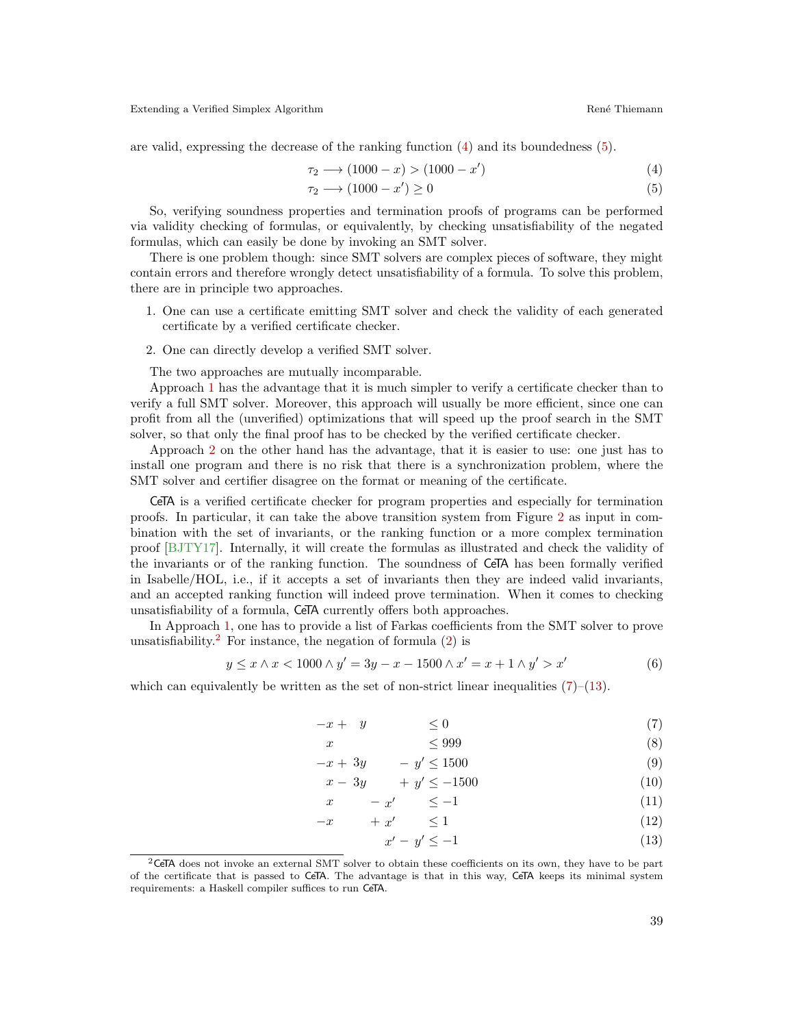<span id="page-2-1"></span><span id="page-2-0"></span>

are valid, expressing the decrease of the ranking function [\(4\)](#page-2-0) and its boundedness [\(5\)](#page-2-1).

$$
\tau_2 \longrightarrow (1000 - x) > (1000 - x') \tag{4}
$$

$$
\tau_2 \longrightarrow (1000 - x') \ge 0 \tag{5}
$$

So, verifying soundness properties and termination proofs of programs can be performed via validity checking of formulas, or equivalently, by checking unsatisfiability of the negated formulas, which can easily be done by invoking an SMT solver.

There is one problem though: since SMT solvers are complex pieces of software, they might contain errors and therefore wrongly detect unsatisfiability of a formula. To solve this problem, there are in principle two approaches.

- <span id="page-2-2"></span>1. One can use a certificate emitting SMT solver and check the validity of each generated certificate by a verified certificate checker.
- <span id="page-2-3"></span>2. One can directly develop a verified SMT solver.

The two approaches are mutually incomparable.

Approach [1](#page-2-2) has the advantage that it is much simpler to verify a certificate checker than to verify a full SMT solver. Moreover, this approach will usually be more efficient, since one can profit from all the (unverified) optimizations that will speed up the proof search in the SMT solver, so that only the final proof has to be checked by the verified certificate checker.

Approach [2](#page-2-3) on the other hand has the advantage, that it is easier to use: one just has to install one program and there is no risk that there is a synchronization problem, where the SMT solver and certifier disagree on the format or meaning of the certificate.

CeTA is a verified certificate checker for program properties and especially for termination proofs. In particular, it can take the above transition system from Figure [2](#page-1-2) as input in combination with the set of invariants, or the ranking function or a more complex termination proof [\[BJTY17\]](#page-11-0). Internally, it will create the formulas as illustrated and check the validity of the invariants or of the ranking function. The soundness of CeTA has been formally verified in Isabelle/HOL, i.e., if it accepts a set of invariants then they are indeed valid invariants, and an accepted ranking function will indeed prove termination. When it comes to checking unsatisfiability of a formula, CeTA currently offers both approaches.

In Approach [1,](#page-2-2) one has to provide a list of Farkas coefficients from the SMT solver to prove unsatisfiability.<sup>[2](#page-2-4)</sup> For instance, the negation of formula  $(2)$  is

$$
y \le x \land x < 1000 \land y' = 3y - x - 1500 \land x' = x + 1 \land y' > x'
$$
\n<sup>(6)</sup>

which can equivalently be written as the set of non-strict linear inequalities  $(7)-(13)$  $(7)-(13)$  $(7)-(13)$ .

<span id="page-2-12"></span>
$$
-x + y \leq 0 \tag{7}
$$

$$
x \le 999 \tag{8}
$$

$$
-x + 3y \qquad -y' \le 1500 \tag{9}
$$

$$
x - 3y \qquad + y' \le -1500 \tag{10}
$$

$$
x \qquad -x' \qquad \le -1 \tag{11}
$$

$$
-x + x' \le 1 \tag{12}
$$

<span id="page-2-11"></span><span id="page-2-10"></span><span id="page-2-9"></span><span id="page-2-8"></span><span id="page-2-7"></span><span id="page-2-6"></span><span id="page-2-5"></span>
$$
x' - y' \le -1 \tag{13}
$$

<span id="page-2-4"></span> ${}^{2}$ CeTA does not invoke an external SMT solver to obtain these coefficients on its own, they have to be part of the certificate that is passed to CeTA. The advantage is that in this way, CeTA keeps its minimal system requirements: a Haskell compiler suffices to run CeTA.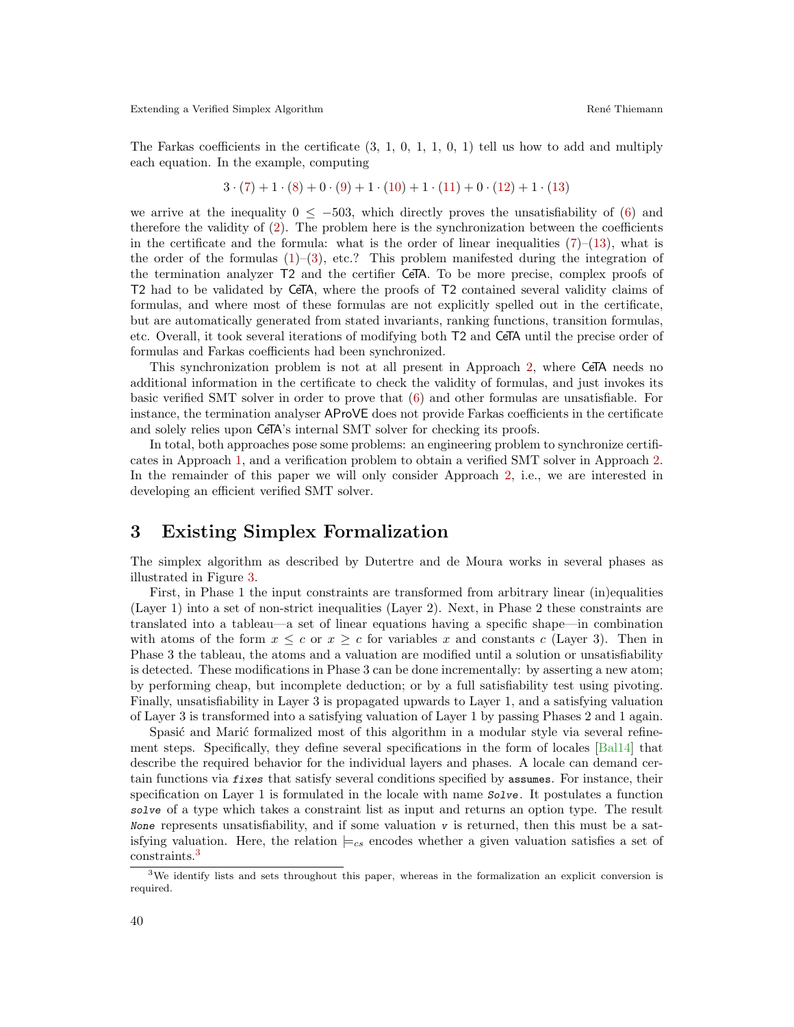The Farkas coefficients in the certificate  $(3, 1, 0, 1, 1, 0, 1)$  tell us how to add and multiply each equation. In the example, computing

$$
3 \cdot (7) + 1 \cdot (8) + 0 \cdot (9) + 1 \cdot (10) + 1 \cdot (11) + 0 \cdot (12) + 1 \cdot (13)
$$

we arrive at the inequality  $0 \le -503$ , which directly proves the unsatisfiability of [\(6\)](#page-2-12) and therefore the validity of [\(2\)](#page-1-5). The problem here is the synchronization between the coefficients in the certificate and the formula: what is the order of linear inequalities  $(7)-(13)$  $(7)-(13)$  $(7)-(13)$ , what is the order of the formulas  $(1)$ – $(3)$ , etc.? This problem manifested during the integration of the termination analyzer T2 and the certifier CeTA. To be more precise, complex proofs of T2 had to be validated by CeTA, where the proofs of T2 contained several validity claims of formulas, and where most of these formulas are not explicitly spelled out in the certificate, but are automatically generated from stated invariants, ranking functions, transition formulas, etc. Overall, it took several iterations of modifying both T2 and CeTA until the precise order of formulas and Farkas coefficients had been synchronized.

This synchronization problem is not at all present in Approach [2,](#page-2-3) where CeTA needs no additional information in the certificate to check the validity of formulas, and just invokes its basic verified SMT solver in order to prove that [\(6\)](#page-2-12) and other formulas are unsatisfiable. For instance, the termination analyser AProVE does not provide Farkas coefficients in the certificate and solely relies upon CeTA's internal SMT solver for checking its proofs.

In total, both approaches pose some problems: an engineering problem to synchronize certificates in Approach [1,](#page-2-2) and a verification problem to obtain a verified SMT solver in Approach [2.](#page-2-3) In the remainder of this paper we will only consider Approach [2,](#page-2-3) i.e., we are interested in developing an efficient verified SMT solver.

### <span id="page-3-0"></span>3 Existing Simplex Formalization

The simplex algorithm as described by Dutertre and de Moura works in several phases as illustrated in Figure [3.](#page-4-0)

First, in Phase 1 the input constraints are transformed from arbitrary linear (in)equalities (Layer 1) into a set of non-strict inequalities (Layer 2). Next, in Phase 2 these constraints are translated into a tableau—a set of linear equations having a specific shape—in combination with atoms of the form  $x \leq c$  or  $x \geq c$  for variables x and constants c (Layer 3). Then in Phase 3 the tableau, the atoms and a valuation are modified until a solution or unsatisfiability is detected. These modifications in Phase 3 can be done incrementally: by asserting a new atom; by performing cheap, but incomplete deduction; or by a full satisfiability test using pivoting. Finally, unsatisfiability in Layer 3 is propagated upwards to Layer 1, and a satisfying valuation of Layer 3 is transformed into a satisfying valuation of Layer 1 by passing Phases 2 and 1 again.

Spasit and Marit formalized most of this algorithm in a modular style via several refinement steps. Specifically, they define several specifications in the form of locales [\[Bal14\]](#page-10-2) that describe the required behavior for the individual layers and phases. A locale can demand certain functions via fixes that satisfy several conditions specified by assumes. For instance, their specification on Layer 1 is formulated in the locale with name Solve. It postulates a function solve of a type which takes a constraint list as input and returns an option type. The result None represents unsatisfiability, and if some valuation  $\nu$  is returned, then this must be a satisfying valuation. Here, the relation  $\models_{cs}$  encodes whether a given valuation satisfies a set of constraints.[3](#page-3-1)

<span id="page-3-1"></span><sup>3</sup>We identify lists and sets throughout this paper, whereas in the formalization an explicit conversion is required.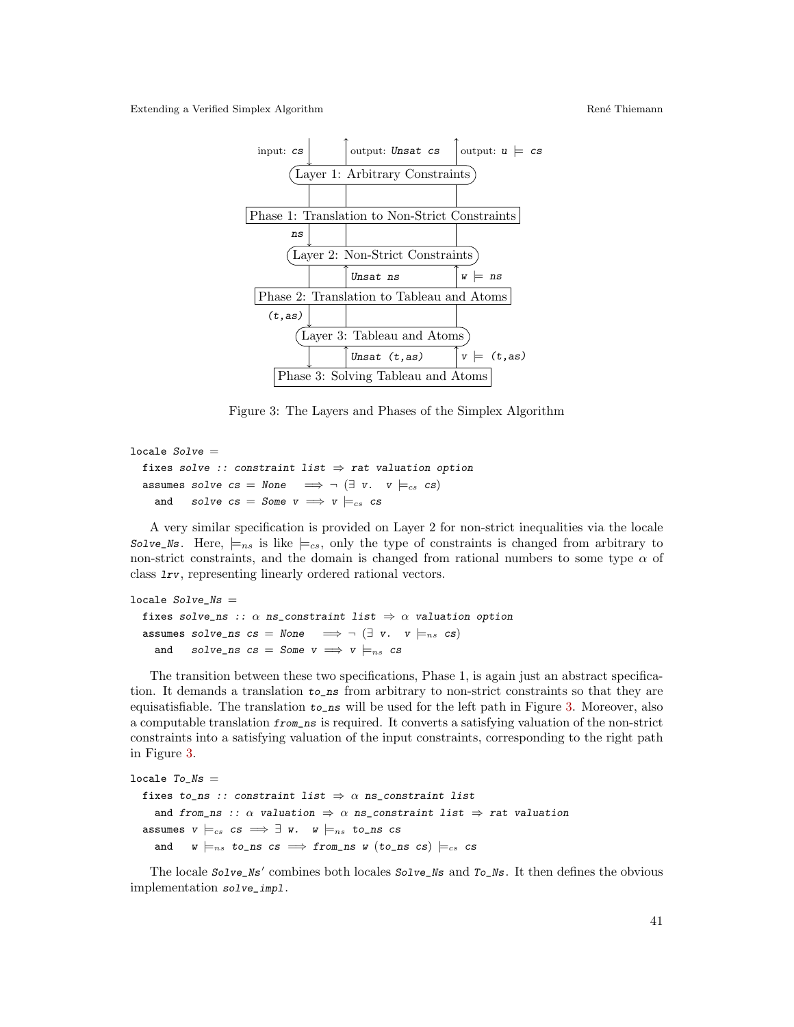

<span id="page-4-0"></span>Figure 3: The Layers and Phases of the Simplex Algorithm

```
locale Solve =fixes solve :: constraint list \Rightarrow rat valuation option
  assumes solve cs = None \implies \neg (\exists v. \quad v \models_{cs} cs)and solve cs = Some \, v \implies v \models_{cs} cs
```
A very similar specification is provided on Layer 2 for non-strict inequalities via the locale Solve\_Ns. Here,  $\models_{ns}$  is like  $\models_{cs}$ , only the type of constraints is changed from arbitrary to non-strict constraints, and the domain is changed from rational numbers to some type  $\alpha$  of class lrv, representing linearly ordered rational vectors.

```
locale Solve<sub>NS</sub> =
  fixes solve_ns :: \alpha ns_constraint list \Rightarrow \alpha valuation option
  assumes solve_ns cs = None \implies \neg (\exists v. \quad v \models_{ns} cs)and solve_ns cs = Some v \implies v \models_{ns} cs
```
The transition between these two specifications, Phase 1, is again just an abstract specification. It demands a translation to\_ns from arbitrary to non-strict constraints so that they are equisatisfiable. The translation to\_ns will be used for the left path in Figure [3.](#page-4-0) Moreover, also a computable translation from\_ns is required. It converts a satisfying valuation of the non-strict constraints into a satisfying valuation of the input constraints, corresponding to the right path in Figure [3.](#page-4-0)

```
locale To<sub>Ns</sub> =
  fixes to_ns :: constraint list \Rightarrow \alpha ns_constraint list
     and from_ns :: \alpha valuation \Rightarrow \alpha ns_constraint list \Rightarrow rat valuation
   assumes v \models_{cs} cs \implies \exists w. \quad w \models_{ns} to\_ns csand w \models_{ns} to_ns cs \implies from_ns w (to_ns cs) \models_{cs} cs
```
The locale  $Solve_Ns'$  combines both locales  $Solve_Ns$  and  $To_Ns$ . It then defines the obvious implementation solve\_impl.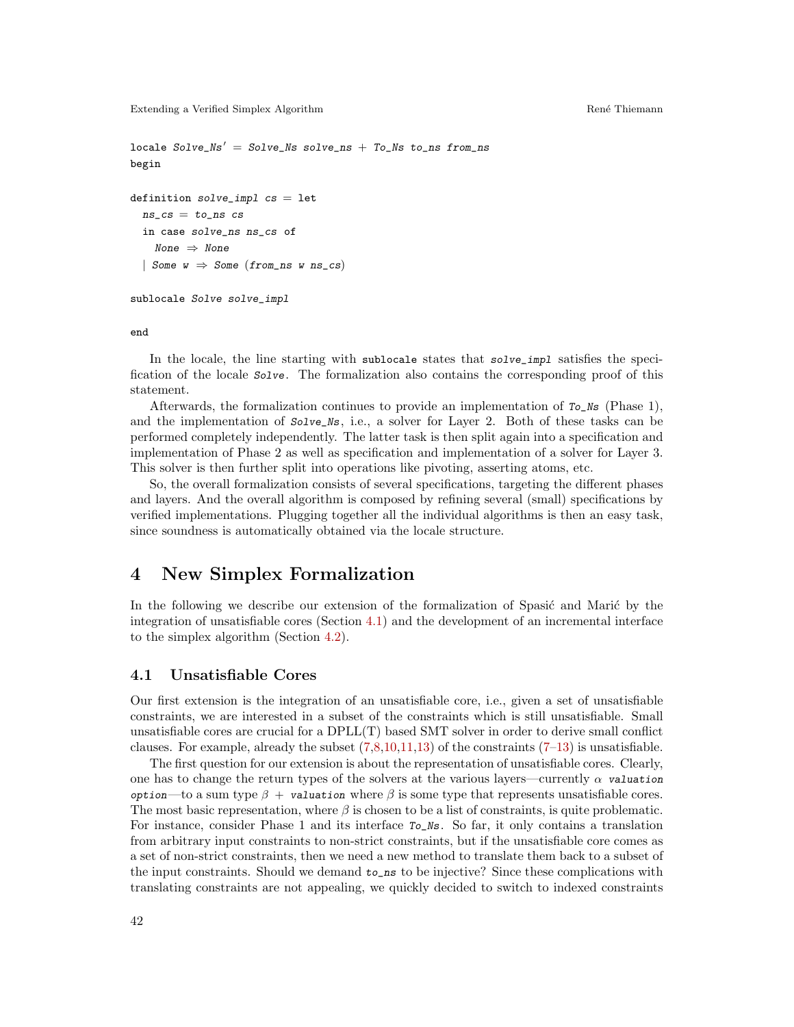```
locale Solve_Ns' = Solve_Ns solve_ns + To_Ns to_ns from_ns
begin
definition solve\_impl cs = letns\_cs = to<sub>ns</sub> csin case solve_ns ns_cs of
    None \Rightarrow None| Some w \Rightarrow Some (from_ns w ns_cs)
sublocale Solve solve_impl
```
end

In the locale, the line starting with sublocale states that solve\_impl satisfies the specification of the locale Solve. The formalization also contains the corresponding proof of this statement.

Afterwards, the formalization continues to provide an implementation of  $T_0$ <sub>Ns</sub> (Phase 1), and the implementation of  $Solve$ <sub>Ns</sub>, i.e., a solver for Layer 2. Both of these tasks can be performed completely independently. The latter task is then split again into a specification and implementation of Phase 2 as well as specification and implementation of a solver for Layer 3. This solver is then further split into operations like pivoting, asserting atoms, etc.

So, the overall formalization consists of several specifications, targeting the different phases and layers. And the overall algorithm is composed by refining several (small) specifications by verified implementations. Plugging together all the individual algorithms is then an easy task, since soundness is automatically obtained via the locale structure.

### <span id="page-5-0"></span>4 New Simplex Formalization

In the following we describe our extension of the formalization of Spasić and Marić by the integration of unsatisfiable cores (Section [4.1\)](#page-5-1) and the development of an incremental interface to the simplex algorithm (Section [4.2\)](#page-8-0).

#### <span id="page-5-1"></span>4.1 Unsatisfiable Cores

Our first extension is the integration of an unsatisfiable core, i.e., given a set of unsatisfiable constraints, we are interested in a subset of the constraints which is still unsatisfiable. Small unsatisfiable cores are crucial for a DPLL(T) based SMT solver in order to derive small conflict clauses. For example, already the subset  $(7,8,10,11,13)$  $(7,8,10,11,13)$  $(7,8,10,11,13)$  $(7,8,10,11,13)$  $(7,8,10,11,13)$  of the constraints  $(7-13)$  is unsatisfiable.

The first question for our extension is about the representation of unsatisfiable cores. Clearly, one has to change the return types of the solvers at the various layers—currently  $\alpha$  valuation option—to a sum type  $\beta + \nu$  valuation where  $\beta$  is some type that represents unsatisfiable cores. The most basic representation, where  $\beta$  is chosen to be a list of constraints, is quite problematic. For instance, consider Phase 1 and its interface To\_Ns. So far, it only contains a translation from arbitrary input constraints to non-strict constraints, but if the unsatisfiable core comes as a set of non-strict constraints, then we need a new method to translate them back to a subset of the input constraints. Should we demand to\_ns to be injective? Since these complications with translating constraints are not appealing, we quickly decided to switch to indexed constraints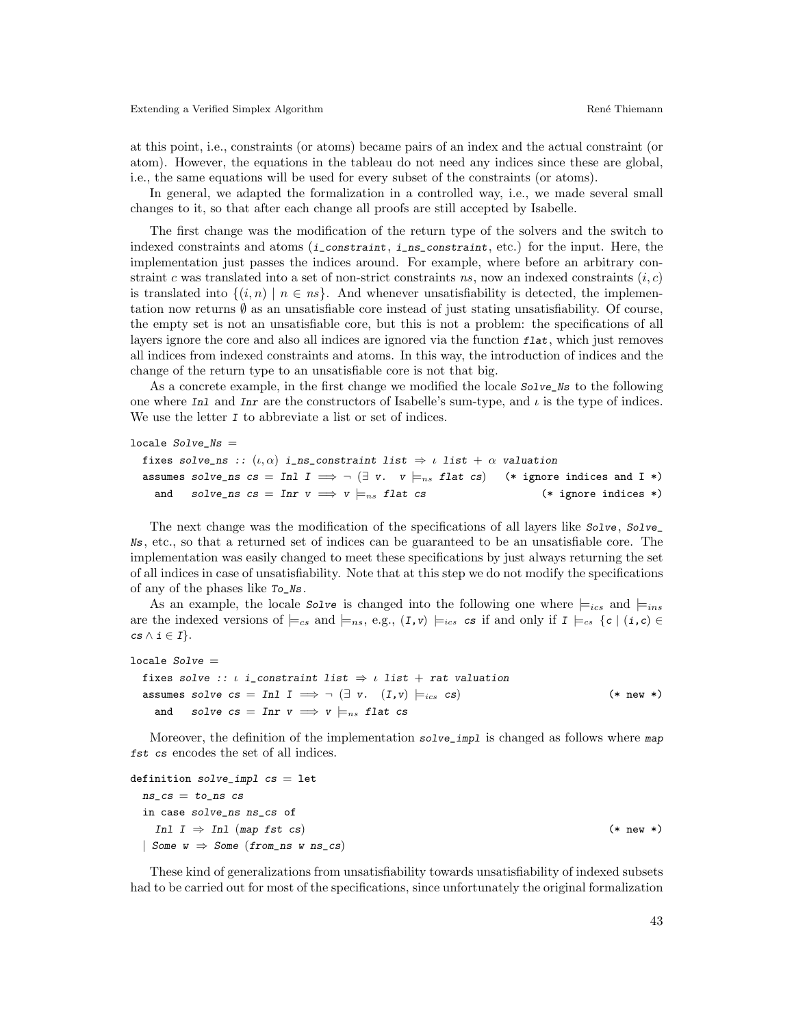at this point, i.e., constraints (or atoms) became pairs of an index and the actual constraint (or atom). However, the equations in the tableau do not need any indices since these are global, i.e., the same equations will be used for every subset of the constraints (or atoms).

In general, we adapted the formalization in a controlled way, i.e., we made several small changes to it, so that after each change all proofs are still accepted by Isabelle.

The first change was the modification of the return type of the solvers and the switch to indexed constraints and atoms  $(i_{\text{constraint}}, i_{\text{ns\_constraint}}, etc.)$  for the input. Here, the implementation just passes the indices around. For example, where before an arbitrary constraint c was translated into a set of non-strict constraints ns, now an indexed constraints  $(i, c)$ is translated into  $\{(i, n) | n \in \text{ns}\}\$ . And whenever unsatisfiability is detected, the implementation now returns  $\emptyset$  as an unsatisfiable core instead of just stating unsatisfiability. Of course, the empty set is not an unsatisfiable core, but this is not a problem: the specifications of all layers ignore the core and also all indices are ignored via the function  $flat$ , which just removes all indices from indexed constraints and atoms. In this way, the introduction of indices and the change of the return type to an unsatisfiable core is not that big.

As a concrete example, in the first change we modified the locale  $Solve$  is to the following one where Inl and Inr are the constructors of Isabelle's sum-type, and  $\iota$  is the type of indices. We use the letter I to abbreviate a list or set of indices.

```
\texttt{locale}\ So1ve\_Ns\ =
```

```
fixes solve_ns :: (\iota, \alpha) i_ns_constraint list \Rightarrow \iota list + \alpha valuation
assumes solve_ns cs = In1 I \implies \neg (\exists v. \quad v \models_{ns} flat \ cs) (* ignore indices and I *)
  and solve_ns cs = Inr v \implies v \models_{ns} flat cs (* ignore indices *)
```
The next change was the modification of the specifications of all layers like  $Solve, Solve$ Ns, etc., so that a returned set of indices can be guaranteed to be an unsatisfiable core. The implementation was easily changed to meet these specifications by just always returning the set of all indices in case of unsatisfiability. Note that at this step we do not modify the specifications of any of the phases like To\_Ns.

As an example, the locale  $Solve$  is changed into the following one where  $\models_{ics}$  and  $\models_{ins}$ are the indexed versions of  $\models_{cs}$  and  $\models_{ns}$ , e.g.,  $(I, v) \models_{ics} cs$  if and only if  $I \models_{cs} \{c \mid (i, c) \in$  $cs \wedge i \in I$ .

```
locale Solve =fixes solve :: \iota i_constraint list \Rightarrow \iota list + rat valuation
  assumes solve cs = \text{Inl } I \implies \neg (\exists v. (I, v) \models_{ics} cs) (* new *)
    and solve cs = \text{Inr } v \implies v \models_{ns} \text{flat cs}
```
Moreover, the definition of the implementation solve\_impl is changed as follows where map fst cs encodes the set of all indices.

```
definition solve\_impl cs = letns\_cs = to<sub>ns</sub> csin case solve_ns ns_cs of
   Inl I ⇒ Inl (map fst cs) (* new *)
 | Some w \Rightarrow Some (from ns w ns cs)
```
These kind of generalizations from unsatisfiability towards unsatisfiability of indexed subsets had to be carried out for most of the specifications, since unfortunately the original formalization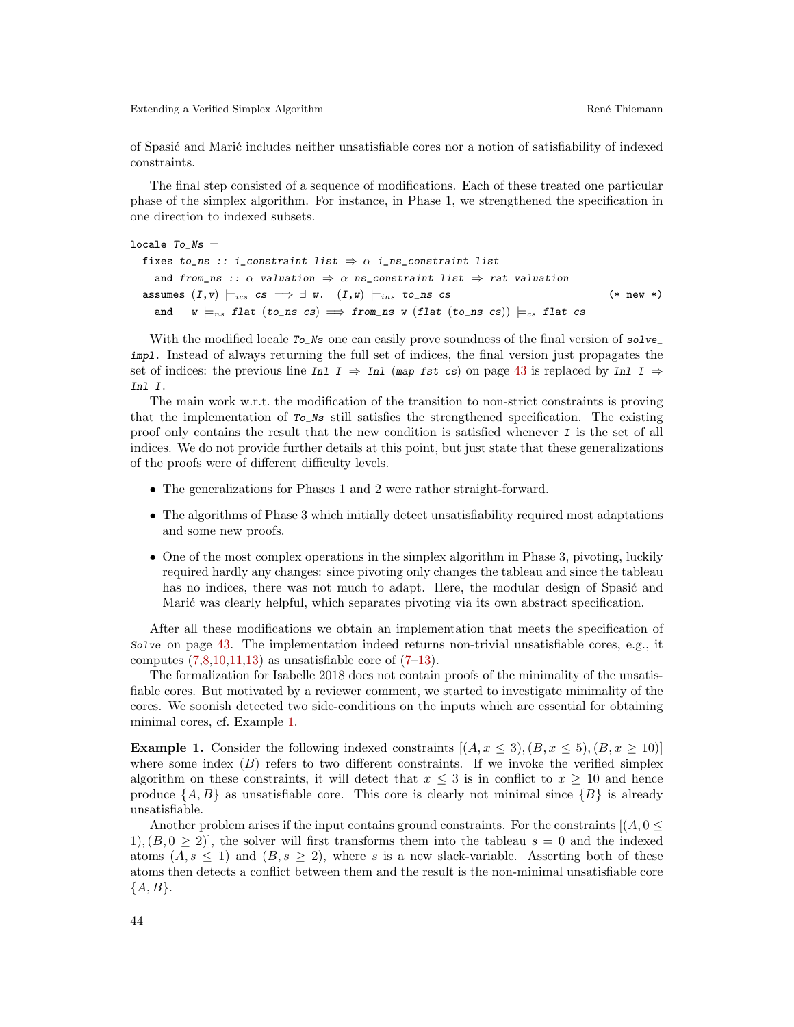of Spasi´c and Mari´c includes neither unsatisfiable cores nor a notion of satisfiability of indexed constraints.

The final step consisted of a sequence of modifications. Each of these treated one particular phase of the simplex algorithm. For instance, in Phase 1, we strengthened the specification in one direction to indexed subsets.

```
locale To<sub>Ns</sub> =
  fixes to_ns :: i_constraint list \Rightarrow \alpha i_ns_constraint list
    and from_ns :: \alpha valuation \Rightarrow \alpha ns_constraint list \Rightarrow rat valuation
  assumes (I, v) \models_{ics} cs \implies \exists w. (I, w) \models_{ins} to\_ns cs (* new *)
    and w =_{ns} flat (to_ns cs) \implies from_ns w (flat (to_ns cs)) \models_{cs} flat cs
```
With the modified locale  $T_0$  is one can easily prove soundness of the final version of solve impl. Instead of always returning the full set of indices, the final version just propagates the set of indices: the previous line Inl  $I \Rightarrow In1$  (map fst cs) on page [43](#page-5-1) is replaced by Inl  $I \Rightarrow$ Inl I.

The main work w.r.t. the modification of the transition to non-strict constraints is proving that the implementation of To\_Ns still satisfies the strengthened specification. The existing proof only contains the result that the new condition is satisfied whenever  $I$  is the set of all indices. We do not provide further details at this point, but just state that these generalizations of the proofs were of different difficulty levels.

- The generalizations for Phases 1 and 2 were rather straight-forward.
- The algorithms of Phase 3 which initially detect unsatisfiability required most adaptations and some new proofs.
- One of the most complex operations in the simplex algorithm in Phase 3, pivoting, luckily required hardly any changes: since pivoting only changes the tableau and since the tableau has no indices, there was not much to adapt. Here, the modular design of Spasić and Marić was clearly helpful, which separates pivoting via its own abstract specification.

After all these modifications we obtain an implementation that meets the specification of Solve on page [43.](#page-5-1) The implementation indeed returns non-trivial unsatisfiable cores, e.g., it computes  $(7,8,10,11,13)$  $(7,8,10,11,13)$  $(7,8,10,11,13)$  $(7,8,10,11,13)$  $(7,8,10,11,13)$  as unsatisfiable core of  $(7-13)$ .

The formalization for Isabelle 2018 does not contain proofs of the minimality of the unsatisfiable cores. But motivated by a reviewer comment, we started to investigate minimality of the cores. We soonish detected two side-conditions on the inputs which are essential for obtaining minimal cores, cf. Example [1.](#page-7-0)

<span id="page-7-0"></span>**Example 1.** Consider the following indexed constraints  $[(A, x \le 3), (B, x \le 5), (B, x \ge 10)]$ where some index  $(B)$  refers to two different constraints. If we invoke the verified simplex algorithm on these constraints, it will detect that  $x \leq 3$  is in conflict to  $x \geq 10$  and hence produce  $\{A, B\}$  as unsatisfiable core. This core is clearly not minimal since  $\{B\}$  is already unsatisfiable.

Another problem arises if the input contains ground constraints. For the constraints  $[(A, 0 \leq$ 1),  $(B, 0 \ge 2)$ , the solver will first transforms them into the tableau  $s = 0$  and the indexed atoms  $(A, s \leq 1)$  and  $(B, s \geq 2)$ , where s is a new slack-variable. Asserting both of these atoms then detects a conflict between them and the result is the non-minimal unsatisfiable core  ${A, B}.$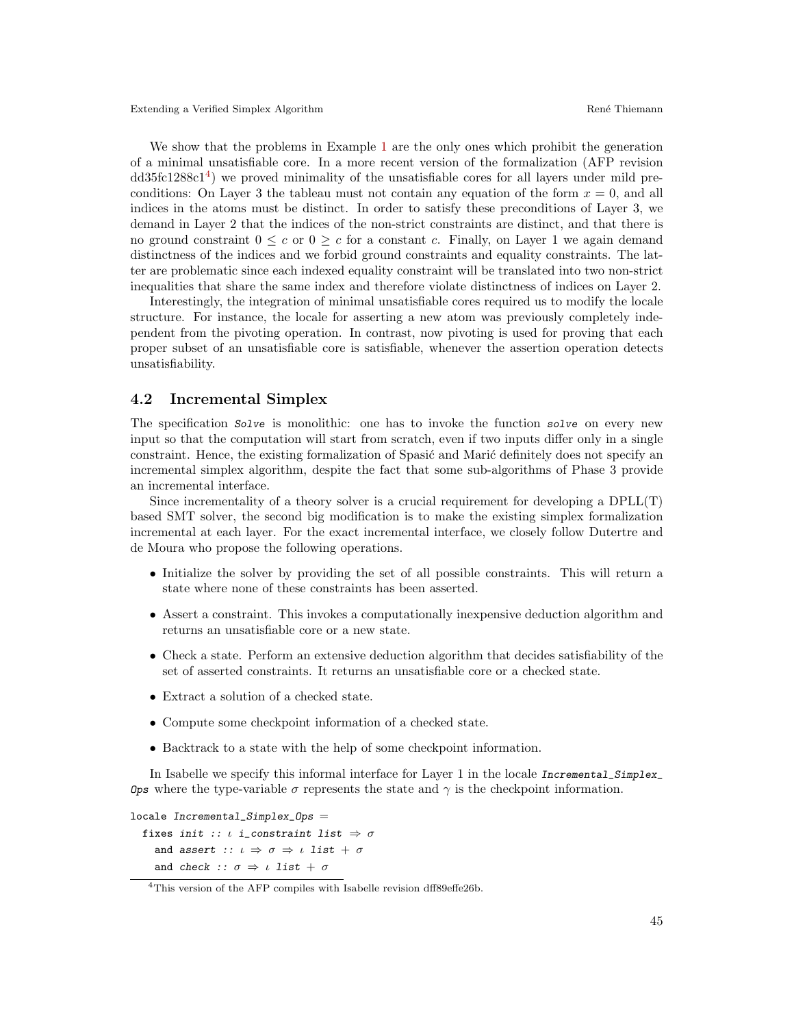We show that the problems in Example [1](#page-7-0) are the only ones which prohibit the generation of a minimal unsatisfiable core. In a more recent version of the formalization (AFP revision dd35fc1288c1<sup>[4](#page-8-1)</sup>) we proved minimality of the unsatisfiable cores for all layers under mild preconditions: On Layer 3 the tableau must not contain any equation of the form  $x = 0$ , and all indices in the atoms must be distinct. In order to satisfy these preconditions of Layer 3, we demand in Layer 2 that the indices of the non-strict constraints are distinct, and that there is no ground constraint  $0 \leq c$  or  $0 \geq c$  for a constant c. Finally, on Layer 1 we again demand distinctness of the indices and we forbid ground constraints and equality constraints. The latter are problematic since each indexed equality constraint will be translated into two non-strict inequalities that share the same index and therefore violate distinctness of indices on Layer 2.

Interestingly, the integration of minimal unsatisfiable cores required us to modify the locale structure. For instance, the locale for asserting a new atom was previously completely independent from the pivoting operation. In contrast, now pivoting is used for proving that each proper subset of an unsatisfiable core is satisfiable, whenever the assertion operation detects unsatisfiability.

### <span id="page-8-0"></span>4.2 Incremental Simplex

The specification Solve is monolithic: one has to invoke the function solve on every new input so that the computation will start from scratch, even if two inputs differ only in a single constraint. Hence, the existing formalization of Spasić and Marić definitely does not specify an incremental simplex algorithm, despite the fact that some sub-algorithms of Phase 3 provide an incremental interface.

Since incrementality of a theory solver is a crucial requirement for developing a DPLL(T) based SMT solver, the second big modification is to make the existing simplex formalization incremental at each layer. For the exact incremental interface, we closely follow Dutertre and de Moura who propose the following operations.

- Initialize the solver by providing the set of all possible constraints. This will return a state where none of these constraints has been asserted.
- Assert a constraint. This invokes a computationally inexpensive deduction algorithm and returns an unsatisfiable core or a new state.
- Check a state. Perform an extensive deduction algorithm that decides satisfiability of the set of asserted constraints. It returns an unsatisfiable core or a checked state.
- Extract a solution of a checked state.
- Compute some checkpoint information of a checked state.
- Backtrack to a state with the help of some checkpoint information.

In Isabelle we specify this informal interface for Layer 1 in the locale Incremental\_Simplex\_ Ops where the type-variable σ represents the state and  $\gamma$  is the checkpoint information.

```
locale Incremental_Simplex_Ops =
   fixes init :: \iota i_constraint list \Rightarrow \sigmaand assert :: \iota \Rightarrow \sigma \Rightarrow \iota list + \sigmaand check :: \sigma \Rightarrow \iota list + \sigma
```
<span id="page-8-1"></span><sup>&</sup>lt;sup>4</sup>This version of the AFP compiles with Isabelle revision dff89effe26b.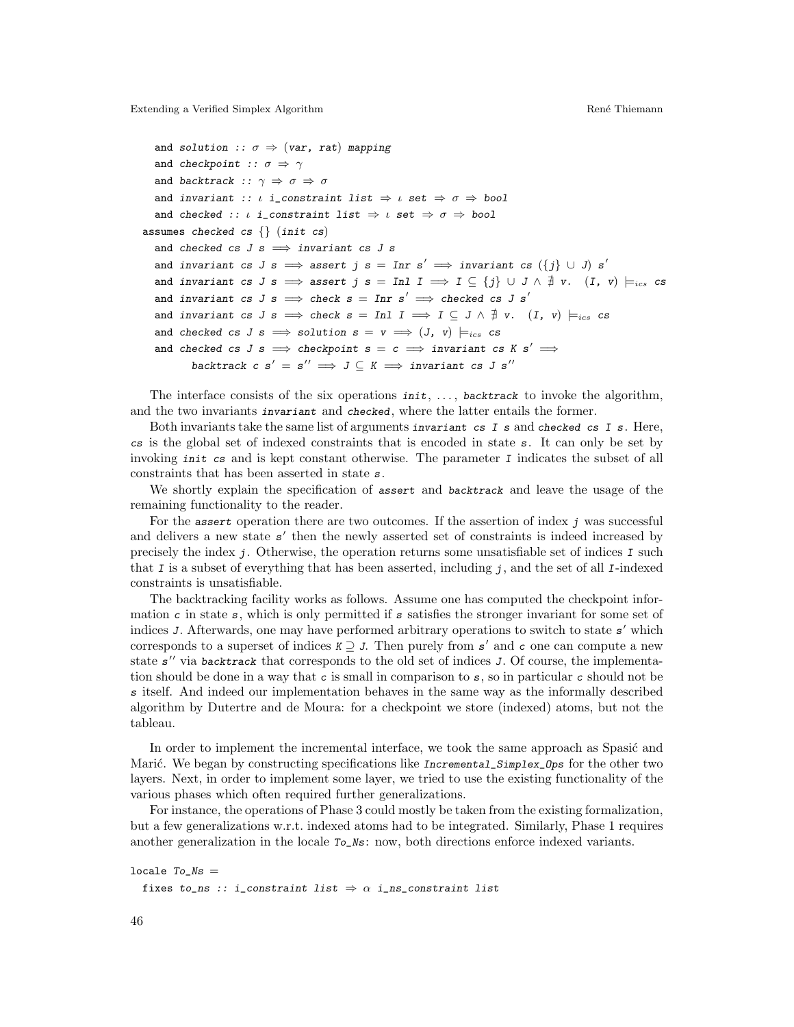```
and solution :: \sigma \Rightarrow (var, rat) mapping
  and checkpoint :: \sigma \Rightarrow \gammaand backtrack :: \gamma \Rightarrow \sigma \Rightarrow \sigmaand invariant :: \iota i_constraint list \Rightarrow \iota set \Rightarrow \sigma \Rightarrow bool
  and checked :: \iota i_constraint list \Rightarrow \iota set \Rightarrow \sigma \Rightarrow bool
assumes checked cs \{\} (init cs)
  and checked cs J s \implies invariant cs J sand invariant cs J s \implies assert j s = Inr s' \implies invariant cs (\{j\} \cup J) s'
  and invariant cs J s \implies assert j s = \text{Inl } I \implies I \subseteq \{j\} \cup J \wedge \nexists v. (I, v) \models_{ics} cs
  and invariant cs J s \implies check s = Inr s' \implies checked cs J s'
  and invariant cs J s \implies check s = \text{Inl } I \implies I \subseteq J \land \nexists v. (I, v) \models_{ics} cs
  and checked cs J s \implies solution s = v \implies (J, v) \models_{ics} csand checked cs J s \implies checkpoint s = c \implies invariant cs K s' \impliesbacktrack c s' = s'' \implies J \subseteq K \implies \text{invariant cs } J \text{ s}''
```
The interface consists of the six operations  $init, ...,$  backtrack to invoke the algorithm, and the two invariants invariant and checked, where the latter entails the former.

Both invariants take the same list of arguments invariant cs  $I$  s and checked cs  $I$  s. Here, cs is the global set of indexed constraints that is encoded in state  $s$ . It can only be set by invoking init cs and is kept constant otherwise. The parameter  $I$  indicates the subset of all constraints that has been asserted in state s.

We shortly explain the specification of assert and backtrack and leave the usage of the remaining functionality to the reader.

For the assert operation there are two outcomes. If the assertion of index  $j$  was successful and delivers a new state  $s'$  then the newly asserted set of constraints is indeed increased by precisely the index  $j$ . Otherwise, the operation returns some unsatisfiable set of indices  $I$  such that I is a subset of everything that has been asserted, including  $j$ , and the set of all I-indexed constraints is unsatisfiable.

The backtracking facility works as follows. Assume one has computed the checkpoint information c in state  $s$ , which is only permitted if  $s$  satisfies the stronger invariant for some set of indices J. Afterwards, one may have performed arbitrary operations to switch to state  $s'$  which corresponds to a superset of indices  $K \supseteq J$ . Then purely from s' and c one can compute a new state s" via backtrack that corresponds to the old set of indices J. Of course, the implementation should be done in a way that c is small in comparison to  $s$ , so in particular c should not be s itself. And indeed our implementation behaves in the same way as the informally described algorithm by Dutertre and de Moura: for a checkpoint we store (indexed) atoms, but not the tableau.

In order to implement the incremental interface, we took the same approach as Spasić and Marić. We began by constructing specifications like Incremental\_Simplex\_Ops for the other two layers. Next, in order to implement some layer, we tried to use the existing functionality of the various phases which often required further generalizations.

For instance, the operations of Phase 3 could mostly be taken from the existing formalization, but a few generalizations w.r.t. indexed atoms had to be integrated. Similarly, Phase 1 requires another generalization in the locale  $T_0$ <sub>Ns</sub>: now, both directions enforce indexed variants.

```
locale To<sub>Ns</sub> =
  fixes to_ns :: i_constraint list \Rightarrow \alpha i_ns_constraint list
```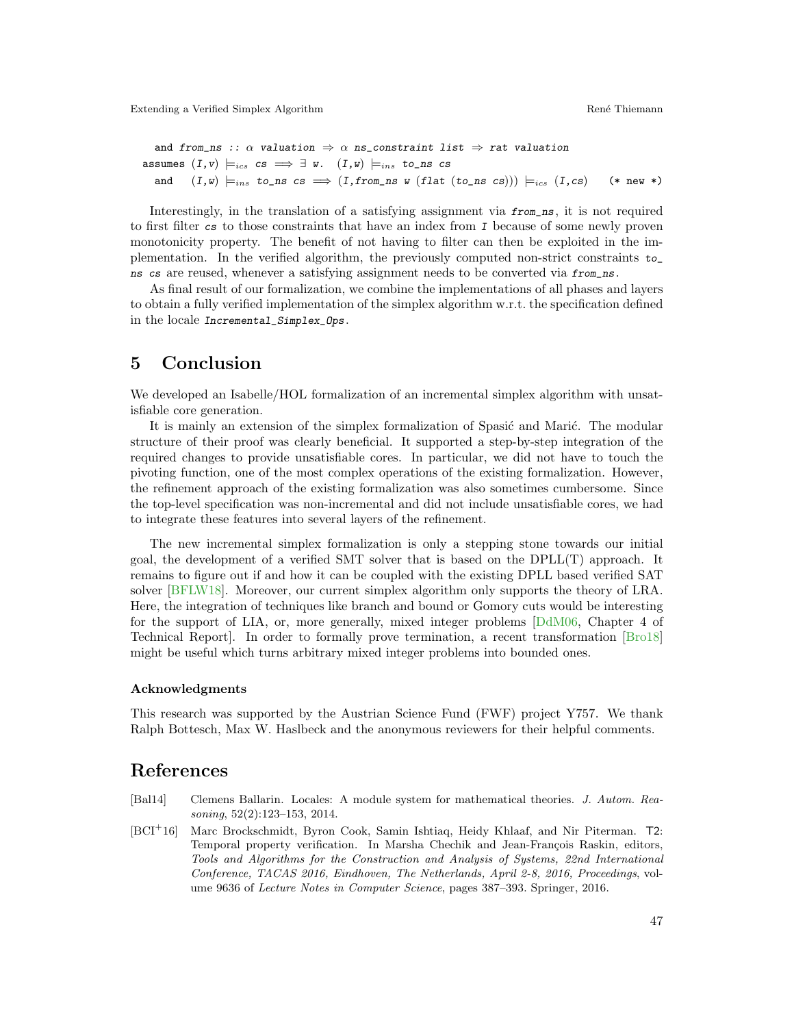```
and from_ns :: \alpha valuation \Rightarrow \alpha ns_constraint list \Rightarrow rat valuation
assumes (I, v) \models_{ics} cs \implies \exists w. (I, w) \models_{ins} to \text{ns cs}and (I, w) \models_{ins} to_ns cs \implies (I, from\_ns \ w \ (flat \ (to\_ns \ cs))) \models_{ics} (I, cs) (* new *)
```
Interestingly, in the translation of a satisfying assignment via from\_ns, it is not required to first filter cs to those constraints that have an index from I because of some newly proven monotonicity property. The benefit of not having to filter can then be exploited in the implementation. In the verified algorithm, the previously computed non-strict constraints to\_ ns cs are reused, whenever a satisfying assignment needs to be converted via from\_ns.

As final result of our formalization, we combine the implementations of all phases and layers to obtain a fully verified implementation of the simplex algorithm w.r.t. the specification defined in the locale Incremental\_Simplex\_Ops.

# <span id="page-10-1"></span>5 Conclusion

We developed an Isabelle/HOL formalization of an incremental simplex algorithm with unsatisfiable core generation.

It is mainly an extension of the simplex formalization of Spasić and Marić. The modular structure of their proof was clearly beneficial. It supported a step-by-step integration of the required changes to provide unsatisfiable cores. In particular, we did not have to touch the pivoting function, one of the most complex operations of the existing formalization. However, the refinement approach of the existing formalization was also sometimes cumbersome. Since the top-level specification was non-incremental and did not include unsatisfiable cores, we had to integrate these features into several layers of the refinement.

The new incremental simplex formalization is only a stepping stone towards our initial goal, the development of a verified SMT solver that is based on the DPLL(T) approach. It remains to figure out if and how it can be coupled with the existing DPLL based verified SAT solver [\[BFLW18\]](#page-11-5). Moreover, our current simplex algorithm only supports the theory of LRA. Here, the integration of techniques like branch and bound or Gomory cuts would be interesting for the support of LIA, or, more generally, mixed integer problems [\[DdM06,](#page-11-6) Chapter 4 of Technical Report]. In order to formally prove termination, a recent transformation [\[Bro18\]](#page-11-10) might be useful which turns arbitrary mixed integer problems into bounded ones.

#### Acknowledgments

This research was supported by the Austrian Science Fund (FWF) project Y757. We thank Ralph Bottesch, Max W. Haslbeck and the anonymous reviewers for their helpful comments.

### References

- <span id="page-10-2"></span>[Bal14] Clemens Ballarin. Locales: A module system for mathematical theories. J. Autom. Reasoning, 52(2):123–153, 2014.
- <span id="page-10-0"></span>[BCI<sup>+</sup>16] Marc Brockschmidt, Byron Cook, Samin Ishtiaq, Heidy Khlaaf, and Nir Piterman. T2: Temporal property verification. In Marsha Chechik and Jean-François Raskin, editors, Tools and Algorithms for the Construction and Analysis of Systems, 22nd International Conference, TACAS 2016, Eindhoven, The Netherlands, April 2-8, 2016, Proceedings, volume 9636 of Lecture Notes in Computer Science, pages 387–393. Springer, 2016.